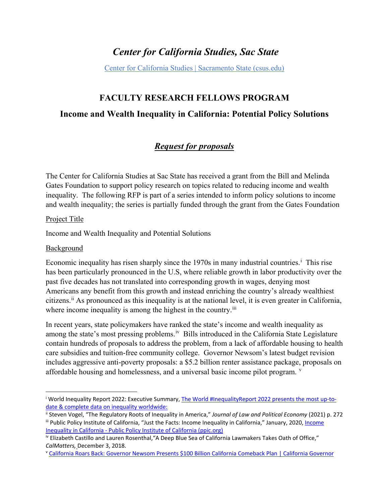# *Center for California Studies, Sac State*

[Center for California Studies | Sacramento State \(csus.edu\)](https://www.csus.edu/center/center-california-studies/)

## **FACULTY RESEARCH FELLOWS PROGRAM**

### **Income and Wealth Inequality in California: Potential Policy Solutions**

## *Request for proposals*

The Center for California Studies at Sac State has received a grant from the Bill and Melinda Gates Foundation to support policy research on topics related to reducing income and wealth inequality. The following RFP is part of a series intended to inform policy solutions to income and wealth inequality; the series is partially funded through the grant from the Gates Foundation

#### Project Title

Income and Wealth Inequality and Potential Solutions

#### Background

 $\overline{\phantom{a}}$ 

Econom[i](#page-0-0)c inequality has risen sharply since the 1970s in many industrial countries.<sup>i</sup> This rise has been particularly pronounced in the U.S, where reliable growth in labor productivity over the past five decades has not translated into corresponding growth in wages, denying most Americans any benefit from this growth and instead enriching the country's already wealthiest citizens.[ii](#page-0-1) As pronounced as this inequality is at the national level, it is even greater in California, where income inequality is among the highest in the country.<sup>[iii](#page-0-2)</sup>

In recent years, state policymakers have ranked the state's income and wealth inequality as among the state's most pressing problems.<sup>iv</sup> Bills introduced in the California State Legislature contain hundreds of proposals to address the problem, from a lack of affordable housing to health care subsidies and tuition-free community college. Governor Newsom's latest budget revision includes aggressive anti-poverty proposals: a \$5.2 billion renter assistance package, proposals on affordable housing and homelessness, and a uni[v](#page-0-4)ersal basic income pilot program. <sup>v</sup>

<span id="page-0-0"></span><sup>i</sup> World Inequality Report 2022: Executive Summary, The World #InequalityReport [2022 presents the most up-to](https://wir2022.wid.world/executive-summary/)[date & complete data on inequality worldwide:](https://wir2022.wid.world/executive-summary/)

<span id="page-0-2"></span><span id="page-0-1"></span><sup>&</sup>quot; Steven Vogel, "The Regulatory Roots of Inequality in America," Journal of Law and Political Economy (2021) p. 272<br>"" Public Policy Institute of California, "Just the Facts: Income Inequality in California," January, 2020

[Inequality in California - Public Policy Institute of California \(ppic.org\)](https://www.ppic.org/publication/income-inequality-in-california/)

<span id="page-0-3"></span>iv Elizabeth Castillo and Lauren Rosenthal, "A Deep Blue Sea of California Lawmakers Takes Oath of Office," *CalMatters,* December 3, 2018.<br><sup>v</sup> [California Roars Back: Governor Newsom Presents \\$100 Billion California Comeback Plan | California Governor](https://www.gov.ca.gov/2021/05/14/california-roars-back-governor-newsom-presents-100-billion-california-comeback-plan/)

<span id="page-0-4"></span>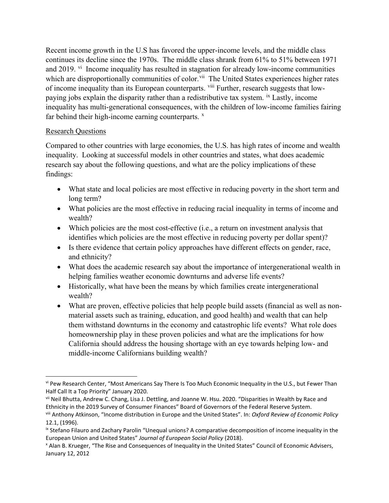Recent income growth in the U.S has favored the upper-income levels, and the middle class continues its decline since the 1970s. The middle class shrank from 61% to 51% between 1971 and 2019. <sup>[vi](#page-1-0)</sup> Income inequality has resulted in stagnation for already low-income communities which are disproportionally communities of color.<sup>[vii](#page-1-1)</sup> The United States experiences higher rates of income inequality than its European counterparts. <sup>[viii](#page-1-2)</sup> Further, research suggests that lowpaying jobs explain the disparity rather than a redistributive tax system. [ix](#page-1-3) Lastly, income inequality has multi-generational consequences, with the children of low-income families fairing far behind their high-income earning counterparts.  $x$ 

#### Research Questions

 $\overline{\phantom{a}}$ 

Compared to other countries with large economies, the U.S. has high rates of income and wealth inequality. Looking at successful models in other countries and states, what does academic research say about the following questions, and what are the policy implications of these findings:

- What state and local policies are most effective in reducing poverty in the short term and long term?
- What policies are the most effective in reducing racial inequality in terms of income and wealth?
- Which policies are the most cost-effective (i.e., a return on investment analysis that identifies which policies are the most effective in reducing poverty per dollar spent)?
- Is there evidence that certain policy approaches have different effects on gender, race, and ethnicity?
- What does the academic research say about the importance of intergenerational wealth in helping families weather economic downturns and adverse life events?
- Historically, what have been the means by which families create intergenerational wealth?
- What are proven, effective policies that help people build assets (financial as well as nonmaterial assets such as training, education, and good health) and wealth that can help them withstand downturns in the economy and catastrophic life events? What role does homeownership play in these proven policies and what are the implications for how California should address the housing shortage with an eye towards helping low- and middle-income Californians building wealth?

<span id="page-1-0"></span>vi Pew Research Center, "Most Americans Say There Is Too Much Economic Inequality in the U.S., but Fewer Than Half Call It a Top Priority" January 2020.<br>vii Neil Bhutta, Andrew C. Chang, Lisa J. Dettling, and Joanne W. Hsu. 2020. "Disparities in Wealth by Race and

<span id="page-1-1"></span>Ethnicity in the 2019 Survey of Consumer Finances" Board of Governors of the Federal Reserve System.

<span id="page-1-2"></span>viii Anthony Atkinson, "Income distribution in Europe and the United States". In: *Oxford Review of Economic Policy* 12.1, (1996).

<span id="page-1-3"></span>ix Stefano Filauro and Zachary Parolin "Unequal unions? A comparative decomposition of income inequality in the European Union and United States" *Journal of European Social Policy* (2018).

<span id="page-1-4"></span><sup>x</sup> Alan B. Krueger, "The Rise and Consequences of Inequality in the United States" Council of Economic Advisers, January 12, 2012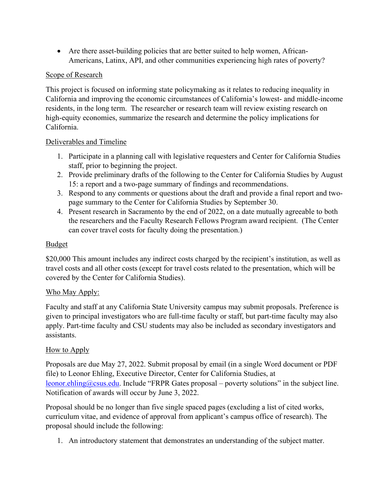• Are there asset-building policies that are better suited to help women, African-Americans, Latinx, API, and other communities experiencing high rates of poverty?

#### Scope of Research

This project is focused on informing state policymaking as it relates to reducing inequality in California and improving the economic circumstances of California's lowest- and middle-income residents, in the long term. The researcher or research team will review existing research on high-equity economies, summarize the research and determine the policy implications for California.

#### Deliverables and Timeline

- 1. Participate in a planning call with legislative requesters and Center for California Studies staff, prior to beginning the project.
- 2. Provide preliminary drafts of the following to the Center for California Studies by August 15: a report and a two-page summary of findings and recommendations.
- 3. Respond to any comments or questions about the draft and provide a final report and twopage summary to the Center for California Studies by September 30.
- 4. Present research in Sacramento by the end of 2022, on a date mutually agreeable to both the researchers and the Faculty Research Fellows Program award recipient. (The Center can cover travel costs for faculty doing the presentation.)

#### **Budget**

\$20,000 This amount includes any indirect costs charged by the recipient's institution, as well as travel costs and all other costs (except for travel costs related to the presentation, which will be covered by the Center for California Studies).

#### Who May Apply:

Faculty and staff at any California State University campus may submit proposals. Preference is given to principal investigators who are full-time faculty or staff, but part-time faculty may also apply. Part-time faculty and CSU students may also be included as secondary investigators and assistants.

#### How to Apply

Proposals are due May 27, 2022. Submit proposal by email (in a single Word document or PDF file) to Leonor Ehling, Executive Director, Center for California Studies, at [leonor.ehling@csus.edu.](mailto:leonor.ehling@csus.edu) Include "FRPR Gates proposal – poverty solutions" in the subject line. Notification of awards will occur by June 3, 2022.

Proposal should be no longer than five single spaced pages (excluding a list of cited works, curriculum vitae, and evidence of approval from applicant's campus office of research). The proposal should include the following:

1. An introductory statement that demonstrates an understanding of the subject matter.